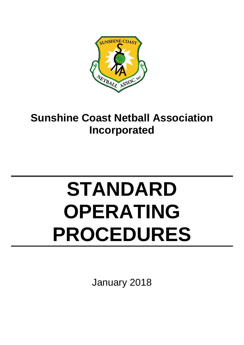

## **Sunshine Coast Netball Association Incorporated**

# **STANDARD OPERATING PROCEDURES**

January 2018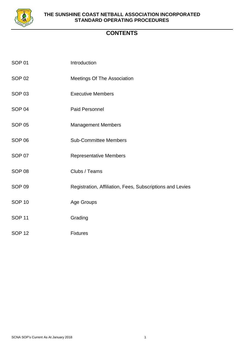

## **CONTENTS**

| SOP 01        | Introduction                                              |
|---------------|-----------------------------------------------------------|
| <b>SOP 02</b> | <b>Meetings Of The Association</b>                        |
| <b>SOP 03</b> | <b>Executive Members</b>                                  |
| <b>SOP 04</b> | <b>Paid Personnel</b>                                     |
| <b>SOP 05</b> | <b>Management Members</b>                                 |
| <b>SOP 06</b> | <b>Sub-Committee Members</b>                              |
| <b>SOP 07</b> | <b>Representative Members</b>                             |
| <b>SOP 08</b> | Clubs / Teams                                             |
| <b>SOP 09</b> | Registration, Affiliation, Fees, Subscriptions and Levies |
| <b>SOP 10</b> | <b>Age Groups</b>                                         |
| <b>SOP 11</b> | Grading                                                   |
| <b>SOP 12</b> | <b>Fixtures</b>                                           |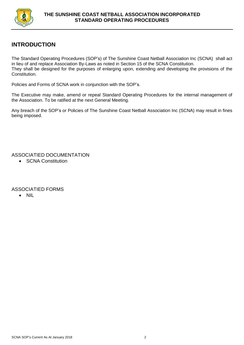

## **INTRODUCTION**

The Standard Operating Procedures (SOP's) of The Sunshine Coast Netball Association Inc (SCNA) shall act in lieu of and replace Association By-Laws as noted in Section 15 of the SCNA Constitution. They shall be designed for the purposes of enlarging upon, extending and developing the provisions of the Constitution.

Policies and Forms of SCNA work in conjunction with the SOP's.

The Executive may make, amend or repeal Standard Operating Procedures for the internal management of the Association. To be ratified at the next General Meeting.

Any breach of the SOP's or Policies of The Sunshine Coast Netball Association Inc (SCNA) may result in fines being imposed.

ASSOCIATIED DOCUMENTATION

• **SCNA Constitution** 

## ASSOCIATIED FORMS

• NIL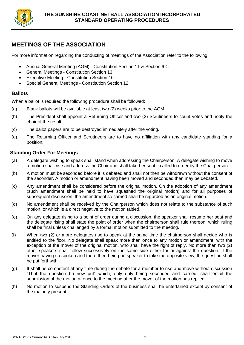

## **MEETINGS OF THE ASSOCIATION**

For more information regarding the conducting of meetings of the Association refer to the following:

- Annual General Meeting (AGM) Constitution Section 11 & Section 6 C
- General Meetings Constitution Section 13
- Executive Meeting Constitution Section 10
- Special General Meetings Constitution Section 12

## **Ballots**

When a ballot is required the following procedure shall be followed:

- (a) Blank ballots will be available at least two (2) weeks prior to the AGM.
- (b) The President shall appoint a Returning Officer and two (2) Scrutineers to count votes and notify the chair of the result.
- (c) The ballot papers are to be destroyed immediately after the voting.
- (d) The Returning Officer and Scrutineers are to have no affiliation with any candidate standing for a position.

## **Standing Order For Meetings**

- (a) A delegate wishing to speak shall stand when addressing the Chairperson. A delegate wishing to move a motion shall rise and address the Chair and shall take her seat if called to order by the Chairperson.
- (b) A motion must be seconded before it is debated and shall not then be withdrawn without the consent of the seconder. A motion or amendment having been moved and seconded then may be debated.
- (c) Any amendment shall be considered before the original motion. On the adoption of any amendment (such amendment shall be held to have squashed the original motion) and for all purposes of subsequent discussion, the amendment so carried shall be regarded as an original motion.
- (d) No amendment shall be received by the Chairperson which does not relate to the substance of such motion, or which is a direct negative to the motion tabled.
- (e) On any delegate rising to a point of order during a discussion, the speaker shall resume her seat and the delegate rising shall state the point of order when the chairperson shall rule thereon, which ruling shall be final unless challenged by a formal motion submitted to the meeting.
- (f) When two (2) or more delegates rise to speak at the same time the chairperson shall decide who is entitled to the floor. No delegate shall speak more than once to any motion or amendment, with the exception of the mover of the original motion, who shall have the right of reply. No more than two (2) other speakers shall follow successively on the same side either for or against the question. If the mover having so spoken and there then being no speaker to take the opposite view, the question shall be put forthwith.
- (g) It shall be competent at any time during the debate for a member to rise and move without discussion "That the question be now put" which, only duly being seconded and carried, shall entail the submission of the motion at once to the meeting after the mover of the motion has replied.
- (h) No motion to suspend the Standing Orders of the business shall be entertained except by consent of the majority present.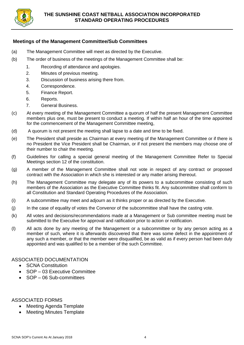

## **Meetings of the Management Committee/Sub Committees**

- (a) The Management Committee will meet as directed by the Executive.
- (b) The order of business of the meetings of the Management Committee shall be:
	- 1. Recording of attendance and apologies.
	- 2. Minutes of previous meeting.
	- 3. Discussion of business arising there from.
	- 4. Correspondence.
	- 5. Finance Report.
	- 6. Reports.
	- 7. General Business.
- (c) At every meeting of the Management Committee a quorum of half the present Management Committee members plus one, must be present to conduct a meeting. If within half an hour of the time appointed for the commencement of the Management Committee meeting,
- (d) A quorum is not present the meeting shall lapse to a date and time to be fixed.
- (e) The President shall preside as Chairman at every meeting of the Management Committee or if there is no President the Vice President shall be Chairman, or if not present the members may choose one of their number to chair the meeting.
- (f) Guidelines for calling a special general meeting of the Management Committee Refer to Special Meetings section 12 of the constitution.
- (g) A member of the Management Committee shall not vote in respect of any contract or proposed contract with the Association in which she is interested or any matter arising thereout.
- (h) The Management Committee may delegate any of its powers to a subcommittee consisting of such members of the Association as the Executive Committee thinks fit. Any subcommittee shall conform to all Constitution and Standard Operating Procedures of the Association.
- (i) A subcommittee may meet and adjourn as it thinks proper or as directed by the Executive.
- (j) In the case of equality of votes the Convenor of the subcommittee shall have the casting vote.
- (k) All votes and decisions/recommendations made at a Management or Sub committee meeting must be submitted to the Executive for approval and ratification prior to action or notification.
- (l) All acts done by any meeting of the Management or a subcommittee or by any person acting as a member of such, where it is afterwards discovered that there was some defect in the appointment of any such a member, or that the member were disqualified, be as valid as if every person had been duly appointed and was qualified to be a member of the such Committee.

ASSOCIATED DOCUMENTATION

- **SCNA Constitution**
- SOP 03 Executive Committee
- SOP 06 Sub-committees

- Meeting Agenda Template
- Meeting Minutes Template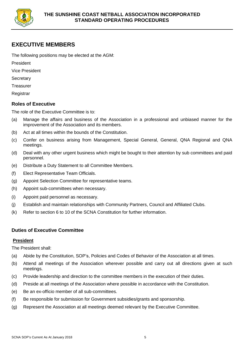

## **EXECUTIVE MEMBERS**

The following positions may be elected at the AGM:

President

- Vice President
- **Secretary**
- **Treasurer**
- **Registrar**

## **Roles of Executive**

The role of the Executive Committee is to:

- (a) Manage the affairs and business of the Association in a professional and unbiased manner for the improvement of the Association and its members.
- (b) Act at all times within the bounds of the Constitution.
- (c) Confer on business arising from Management, Special General, General, QNA Regional and QNA meetings.
- (d) Deal with any other urgent business which might be bought to their attention by sub committees and paid personnel.
- (e) Distribute a Duty Statement to all Committee Members.
- (f) Elect Representative Team Officials.
- (g) Appoint Selection Committee for representative teams.
- (h) Appoint sub-committees when necessary.
- (i) Appoint paid personnel as necessary.
- (j) Establish and maintain relationships with Community Partners, Council and Affiliated Clubs.
- (k) Refer to section 6 to 10 of the SCNA Constitution for further information.

## **Duties of Executive Committee**

#### **President**

The President shall:

- (a) Abide by the Constitution, SOP's, Policies and Codes of Behavior of the Association at all times.
- (b) Attend all meetings of the Association wherever possible and carry out all directions given at such meetings.
- (c) Provide leadership and direction to the committee members in the execution of their duties.
- (d) Preside at all meetings of the Association where possible in accordance with the Constitution.
- (e) Be an ex-officio member of all sub-committees.
- (f) Be responsible for submission for Government subsidies/grants and sponsorship.
- (g) Represent the Association at all meetings deemed relevant by the Executive Committee.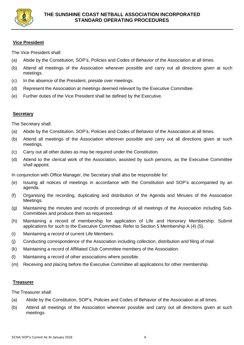

## **Vice President**

The Vice President shall:

- (a) Abide by the Constitution, SOP's, Policies and Codes of Behavior of the Association at all times.
- (b) Attend all meetings of the Association wherever possible and carry out all directions given at such meetings.
- (c) In the absence of the President, preside over meetings.
- (d) Represent the Association at meetings deemed relevant by the Executive Committee.
- (e) Further duties of the Vice President shall be defined by the Executive.

## **Secretary**

The Secretary shall:

- (a) Abide by the Constitution, SOP's, Policies and Codes of Behavior of the Association at all times.
- (b) Attend all meetings of the Association wherever possible and carry out all directions given at such meetings.
- (c) Carry out all other duties as may be required under the Constitution.
- (d) Attend to the clerical work of the Association, assisted by such persons, as the Executive Committee shall appoint.

In conjunction with Office Manager, the Secretary shall also be responsible for:

- (e) Issuing all notices of meetings in accordance with the Constitution and SOP's accompanied by an agenda.
- (f) Organising the recording, duplicating and distribution of the Agenda and Minutes of the Association Meetings.
- (g) Maintaining the minutes and records of proceedings of all meetings of the Association including Sub-Committees and produce them as requested.
- (h) Maintaining a record of membership for application of Life and Honorary Membership. Submit applications for such to the Executive Committee. Refer to Section 5 Membership A (4) (5).
- (i) Maintaining a record of current Life Members.
- (j) Conducting correspondence of the Association including collection, distribution and filing of mail.
- (k) Maintaining a record of Affiliated Club Committee members of the Association.
- (l) Maintaining a record of other associations where possible.
- (m) Receiving and placing before the Executive Committee all applications for other membership.

#### **Treasurer**

The Treasurer shall:

- (a) Abide by the Constitution, SOP's, Policies and Codes of Behavior of the Association at all times.
- (b) Attend all meetings of the Association wherever possible and carry out all directions given at such meetings.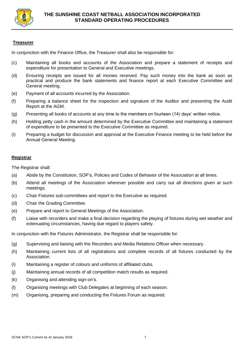

## **Treasurer**

In conjunction with the Finance Office, the Treasurer shall also be responsible for:

- (c) Maintaining all books and accounts of the Association and prepare a statement of receipts and expenditure for presentation to General and Executive meetings.
- (d) Ensuring receipts are issued for all monies received. Pay such money into the bank as soon as practical and produce the bank statements and finance report at each Executive Committee and General meeting.
- (e) Payment of all accounts incurred by the Association.
- (f) Preparing a balance sheet for the inspection and signature of the Auditor and presenting the Audit Report at the AGM.
- (g) Presenting all books of accounts at any time to the members on fourteen (14) days' written notice.
- (h) Holding petty cash in the amount determined by the Executive Committee and maintaining a statement of expenditure to be presented to the Executive Committee as required.
- (i) Preparing a budget for discussion and approval at the Executive Finance meeting to be held before the Annual General Meeting.

#### **Registrar**

The Registrar shall:

- (a) Abide by the Constitution, SOP's, Policies and Codes of Behavior of the Association at all times.
- (b) Attend all meetings of the Association wherever possible and carry out all directions given at such meetings.
- (c) Chair Fixtures sub-committees and report to the Executive as required.
- (d) Chair the Grading Committee.
- (e) Prepare and report to General Meetings of the Association.
- (f) Liaise with recorders and make a final decision regarding the playing of fixtures during wet weather and extenuating circumstances, having due regard to players safety.

In conjunction with the Fixtures Administrator, the Registrar shall be responsible for:

- (g) Supervising and liaising with the Recorders and Media Relations Officer when necessary.
- (h) Maintaining current lists of all registrations and complete records of all fixtures conducted by the Association.
- (i) Maintaining a register of colours and uniforms of affiliated clubs.
- (j) Maintaining annual records of all competition match results as required.
- (k) Organising and attending sign-on's.
- (l) Organising meetings with Club Delegates at beginning of each season.
- (m) Organising, preparing and conducting the Fixtures Forum as required.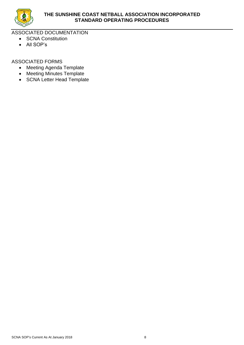

ASSOCIATED DOCUMENTATION

- SCNA Constitution
- All SOP's

- Meeting Agenda Template
- Meeting Minutes Template
- SCNA Letter Head Template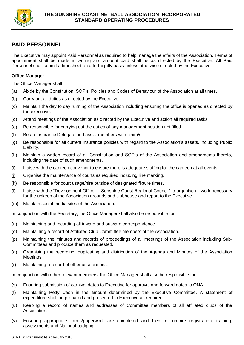

## **PAID PERSONNEL**

The Executive may appoint Paid Personnel as required to help manage the affairs of the Association. Terms of appointment shall be made in writing and amount paid shall be as directed by the Executive. All Paid Personnel shall submit a timesheet on a fortnightly basis unless otherwise directed by the Executive.

## **Office Manager**

The Office Manager shall: -

- (a) Abide by the Constitution, SOP's, Policies and Codes of Behaviour of the Association at all times.
- (b) Carry out all duties as directed by the Executive.
- (c) Maintain the day to day running of the Association including ensuring the office is opened as directed by the executive.
- (d) Attend meetings of the Association as directed by the Executive and action all required tasks.
- (e) Be responsible for carrying out the duties of any management position not filled.
- (f) Be an Insurance Delegate and assist members with claim/s.
- (g) Be responsible for all current insurance policies with regard to the Association's assets, including Public Liability.
- (h) Maintain a written record of all Constitution and SOP's of the Association and amendments thereto, including the date of such amendments.
- (i) Liaise with the canteen convenor to ensure there is adequate staffing for the canteen at all events.
- (j) Organise the maintenance of courts as required including line marking.
- (k) Be responsible for court usage/hire outside of designated fixture times.
- (l) Liaise with the "Development Officer Sunshine Coast Regional Council" to organise all work necessary for the upkeep of the Association grounds and clubhouse and report to the Executive.
- (m) Maintain social media sites of the Association.

In conjunction with the Secretary, the Office Manager shall also be responsible for:-

- (n) Maintaining and recording all inward and outward correspondence.
- (o) Maintaining a record of Affiliated Club Committee members of the Association.
- (p) Maintaining the minutes and records of proceedings of all meetings of the Association including Sub-Committees and produce them as requested.
- (q) Organising the recording, duplicating and distribution of the Agenda and Minutes of the Association Meetings.
- (r) Maintaining a record of other associations.

In conjunction with other relevant members, the Office Manager shall also be responsible for:

- (s) Ensuring submission of carnival dates to Executive for approval and forward dates to QNA.
- (t) Maintaining Petty Cash in the amount determined by the Executive Committee. A statement of expenditure shall be prepared and presented to Executive as required.
- (u) Keeping a record of names and addresses of Committee members of all affiliated clubs of the Association.
- (v) Ensuring appropriate forms/paperwork are completed and filed for umpire registration, training, assessments and National badging.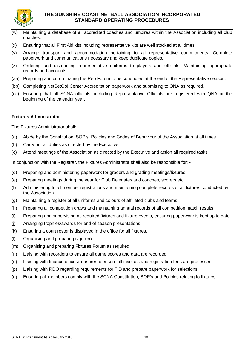

## **THE SUNSHINE COAST NETBALL ASSOCIATION INCORPORATED STANDARD OPERATING PROCEDURES**

- (w) Maintaining a database of all accredited coaches and umpires within the Association including all club coaches.
- (x) Ensuring that all First Aid kits including representative kits are well stocked at all times.
- (y) Arrange transport and accommodation pertaining to all representative commitments. Complete paperwork and communications necessary and keep duplicate copies.
- (z) Ordering and distributing representative uniforms to players and officials. Maintaining appropriate records and accounts.
- (aa) Preparing and co-ordinating the Rep Forum to be conducted at the end of the Representative season.
- (bb) Completing NetSetGo! Center Accreditation paperwork and submitting to QNA as required.
- (cc) Ensuring that all SCNA officials, including Representative Officials are registered with QNA at the beginning of the calendar year.

## **Fixtures Administrator**

The Fixtures Administrator shall:-

- (a) Abide by the Constitution, SOP's, Policies and Codes of Behaviour of the Association at all times.
- (b) Carry out all duties as directed by the Executive.
- (c) Attend meetings of the Association as directed by the Executive and action all required tasks.

In conjunction with the Registrar, the Fixtures Administrator shall also be responsible for: -

- (d) Preparing and administering paperwork for graders and grading meetings/fixtures.
- (e) Preparing meetings during the year for Club Delegates and coaches, scorers etc.
- (f) Administering to all member registrations and maintaining complete records of all fixtures conducted by the Association.
- (g) Maintaining a register of all uniforms and colours of affiliated clubs and teams.
- (h) Preparing all competition draws and maintaining annual records of all competition match results.
- (i) Preparing and supervising as required fixtures and fixture events, ensuring paperwork is kept up to date.
- (j) Arranging trophies/awards for end of season presentations.
- (k) Ensuring a court roster is displayed in the office for all fixtures.
- (l) Organising and preparing sign-on's.
- (m) Organising and preparing Fixtures Forum as required.
- (n) Liaising with recorders to ensure all game scores and data are recorded.
- (o) Liaising with finance officer/treasurer to ensure all invoices and registration fees are processed.
- (p) Liaising with RDO regarding requirements for TID and prepare paperwork for selections.
- (q) Ensuring all members comply with the SCNA Constitution, SOP's and Policies relating to fixtures.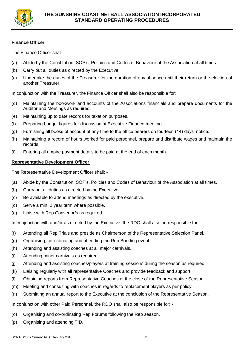

## **Finance Officer**

The Finance Officer shall:

- (a) Abide by the Constitution, SOP's, Policies and Codes of Behaviour of the Association at all times.
- (b) Carry out all duties as directed by the Executive.
- (c) Undertake the duties of the Treasurer for the duration of any absence until their return or the election of another Treasurer.

In conjunction with the Treasurer, the Finance Officer shall also be responsible for:

- (d) Maintaining the bookwork and accounts of the Associations financials and prepare documents for the Auditor and Meetings as required.
- (e) Maintaining up to date records for taxation purposes.
- (f) Preparing budget figures for discussion at Executive Finance meeting.
- (g) Furnishing all books of account at any time to the office bearers on fourteen (14) days' notice.
- (h) Maintaining a record of hours worked for paid personnel, prepare and distribute wages and maintain the records.
- (i) Entering all umpire payment details to be paid at the end of each month.

## **Representative Development Officer**

The Representative Development Officer shall: -

- (a) Abide by the Constitution, SOP's, Policies and Codes of Behaviour of the Association at all times.
- (b) Carry out all duties as directed by the Executive.
- (c) Be available to attend meetings as directed by the executive.
- (d) Serve a min. 2 year term where possible.
- (e) Liaise with Rep Convenor/s as required.

In conjunction with and/or as directed by the Executive, the RDO shall also be responsible for: -

- (f) Attending all Rep Trials and preside as Chairperson of the Representative Selection Panel.
- (g) Organising, co-ordinating and attending the Rep Bonding event.
- (h) Attending and assisting coaches at all major carnivals.
- (i) Attending minor carnivals as required.
- (j) Attending and assisting coaches/players at training sessions during the season as required.
- (k) Liaising regularly with all representative Coaches and provide feedback and support.
- (l) Obtaining reports from Representative Coaches at the close of the Representative Season.
- (m) Meeting and consulting with coaches in regards to replacement players as per policy.
- (n) Submitting an annual report to the Executive at the conclusion of the Representative Season.

In conjunction with other Paid Personnel, the RDO shall also be responsible for: -

- (o) Organising and co-ordinating Rep Forums following the Rep season.
- (p) Organising and attending TID.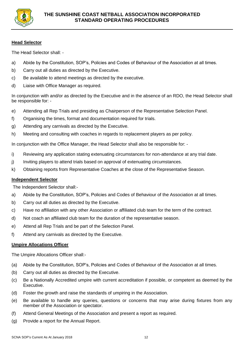

## **Head Selector**

The Head Selector shall: -

- a) Abide by the Constitution, SOP's, Policies and Codes of Behaviour of the Association at all times.
- b) Carry out all duties as directed by the Executive.
- c) Be available to attend meetings as directed by the executive.
- d) Liaise with Office Manager as required.

In conjunction with and/or as directed by the Executive and in the absence of an RDO, the Head Selector shall be responsible for: -

- e) Attending all Rep Trials and presiding as Chairperson of the Representative Selection Panel.
- f) Organising the times, format and documentation required for trials.
- g) Attending any carnivals as directed by the Executive.
- h) Meeting and consulting with coaches in regards to replacement players as per policy.

In conjunction with the Office Manager, the Head Selector shall also be responsible for: -

- i) Reviewing any application stating extenuating circumstances for non-attendance at any trial date.
- j) Inviting players to attend trials based on approval of extenuating circumstances.
- k) Obtaining reports from Representative Coaches at the close of the Representative Season.

#### **Independent Selector**

The Independent Selector shall:-

- a) Abide by the Constitution, SOP's, Policies and Codes of Behaviour of the Association at all times.
- b) Carry out all duties as directed by the Executive.
- c) Have no affiliation with any other Association or affiliated club team for the term of the contract.
- d) Not coach an affiliated club team for the duration of the representative season.
- e) Attend all Rep Trials and be part of the Selection Panel.
- f) Attend any carnivals as directed by the Executive.

#### **Umpire Allocations Officer**

The Umpire Allocations Officer shall:-

- (a) Abide by the Constitution, SOP's, Policies and Codes of Behaviour of the Association at all times.
- (b) Carry out all duties as directed by the Executive.
- (c) Be a Nationally Accredited umpire with current accreditation if possible, or competent as deemed by the Executive.
- (d) Foster the growth and raise the standards of umpiring in the Association.
- (e) Be available to handle any queries, questions or concerns that may arise during fixtures from any member of the Association or spectator.
- (f) Attend General Meetings of the Association and present a report as required.
- (g) Provide a report for the Annual Report.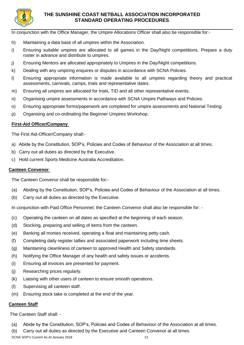

## **THE SUNSHINE COAST NETBALL ASSOCIATION INCORPORATED STANDARD OPERATING PROCEDURES**

In conjunction with the Office Manager, the Umpire Allocations Officer shall also be responsible for:-

- h) Maintaining a data base of all umpires within the Association.
- i) Ensuring suitable umpires are allocated to all games in the Day/Night competitions. Prepare a duty roster in advance and distribute to umpires.
- j) Ensuring Mentors are allocated appropriately to Umpires in the Day/Night competitions.
- k) Dealing with any umpiring enquires or disputes in accordance with SCNA Policies.
- l) Ensuring appropriate information is made available to all umpires regarding theory and practical assessments, carnivals, camps, trials and representative dates.
- m) Ensuring all umpires are allocated for trials, TID and all other representative events.
- n) Organising umpire assessments in accordance with SCNA Umpire Pathways and Policies.
- o) Ensuring appropriate forms/paperwork are completed for umpire assessments and National Testing.
- p) Organising and co-ordinating the Beginner Umpires Workshop.

## **First-Aid Officer/Company**

The First Aid-Officer/Company shall:-

- a) Abide by the Constitution, SOP's, Policies and Codes of Behaviour of the Association at all times.
- b) Carry out all duties as directed by the Executive.
- c) Hold current Sports Medicine Australia Accreditation.

#### **Canteen Convenor**

The Canteen Convenor shall be responsible for:-

- (a) Abiding by the Constitution, SOP's, Policies and Codes of Behaviour of the Association at all times.
- (b) Carry out all duties as directed by the Executive.

In conjunction with Paid Office Personnel, the Canteen Convenor shall also be responsible for: -

- (c) Operating the canteen on all dates as specified at the beginning of each season.
- (d) Stocking, preparing and selling of items from the canteen.
- (e) Banking all monies received, operating a float and maintaining petty cash.
- (f) Completing daily register tallies and associated paperwork including time sheets.
- (g) Maintaining cleanliness of canteen to approved Health and Safety standards.
- (h) Notifying the Office Manager of any health and safety issues or accidents.
- (i) Ensuring all invoices are presented for payment.
- (j) Researching prices regularly.
- (k) Liaising with other users of canteen to ensure smooth operations.
- (l) Supervising all canteen staff.
- (m) Ensuring stock take is completed at the end of the year.

## **Canteen Staff**

The Canteen Staff shall: -

- (a) Abide by the Constitution, SOP's, Policies and Codes of Behaviour of the Association at all times.
- (b) Carry out all duties as directed by the Executive and Canteen Convenor at all times.

SCNA SOP's Current As At January 2018 13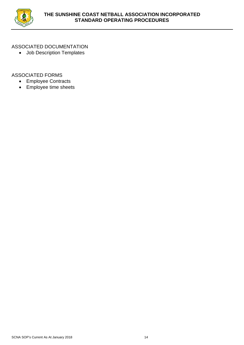

## ASSOCIATED DOCUMENTATION

• Job Description Templates

- Employee Contracts
- Employee time sheets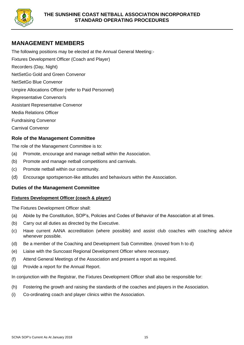

## **MANAGEMENT MEMBERS**

The following positions may be elected at the Annual General Meeting:-

Fixtures Development Officer (Coach and Player)

Recorders (Day, Night)

NetSetGo Gold and Green Convenor

NetSetGo Blue Convenor

Umpire Allocations Officer (refer to Paid Personnel)

Representative Convenor/s

Assistant Representative Convenor

Media Relations Officer

Fundraising Convenor

Carnival Convenor

## **Role of the Management Committee**

The role of the Management Committee is to:

- (a) Promote, encourage and manage netball within the Association.
- (b) Promote and manage netball competitions and carnivals.
- (c) Promote netball within our community.
- (d) Encourage sportsperson-like attitudes and behaviours within the Association.

#### **Duties of the Management Committee**

#### **Fixtures Development Officer (coach & player)**

The Fixtures Development Officer shall:

- (a) Abide by the Constitution, SOP's, Policies and Codes of Behavior of the Association at all times.
- (b) Carry out all duties as directed by the Executive.
- (c) Have current AANA accreditation (where possible) and assist club coaches with coaching advice whenever possible.
- (d) Be a member of the Coaching and Development Sub Committee. (moved from h to d)
- (e) Liaise with the Suncoast Regional Development Officer where necessary.
- (f) Attend General Meetings of the Association and present a report as required.
- (g) Provide a report for the Annual Report.

In conjunction with the Registrar, the Fixtures Development Officer shall also be responsible for:

- (h) Fostering the growth and raising the standards of the coaches and players in the Association.
- (i) Co-ordinating coach and player clinics within the Association.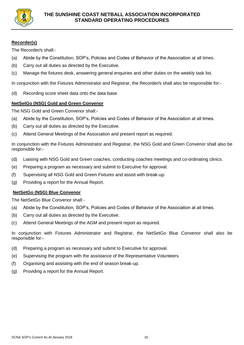

## **Recorder(s)**

The Recorder/s shall:-

- (a) Abide by the Constitution, SOP's, Policies and Codes of Behavior of the Association at all times.
- (b) Carry out all duties as directed by the Executive.
- (c) Manage the fixtures desk, answering general enquiries and other duties on the weekly task list.

In conjunction with the Fixtures Administrator and Registrar, the Recorder/s shall also be responsible for:-

(d) Recording score sheet data onto the data base.

## **NetSetGo (NSG) Gold and Green Convenor**

The NSG Gold and Green Convenor shall:-

- (a) Abide by the Constitution, SOP's, Policies and Codes of Behavior of the Association at all times.
- (b) Carry out all duties as directed by the Executive.
- (c) Attend General Meetings of the Association and present report as required.

In conjunction with the Fixtures Administrator and Registrar, the NSG Gold and Green Convenor shall also be responsible for:-

- (d) Liaising with NSG Gold and Green coaches, conducting coaches meetings and co-ordinating clinics.
- (e) Preparing a program as necessary and submit to Executive for approval.
- (f) Supervising all NSG Gold and Green Fixtures and assist with break-up.
- (g) Providing a report for the Annual Report.

## **NetSetGo (NSG) Blue Convenor**

The NetSetGo Blue Convenor shall:-

- (a) Abide by the Constitution, SOP's, Policies and Codes of Behavior of the Association at all times.
- (b) Carry out all duties as directed by the Executive.
- (c) Attend General Meetings of the AGM and present report as required.

In conjunction with Fixtures Administrator and Registrar, the NetSetGo Blue Convenor shall also be responsible for:-

- (d) Preparing a program as necessary and submit to Executive for approval.
- (e) Supervising the program with the assistance of the Representative Volunteers.
- (f) Organising and assisting with the end of season break-up.
- (g) Providing a report for the Annual Report.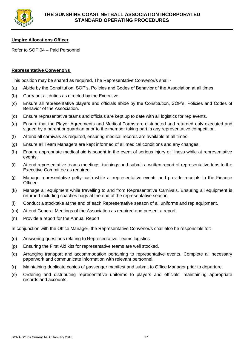

## **Umpire Allocations Officer**

Refer to SOP 04 – Paid Personnel

## **Representative Convenor/s**

This position may be shared as required. The Representative Convenor/s shall:-

- (a) Abide by the Constitution, SOP's, Policies and Codes of Behavior of the Association at all times.
- (b) Carry out all duties as directed by the Executive.
- (c) Ensure all representative players and officials abide by the Constitution, SOP's, Policies and Codes of Behavior of the Association.
- (d) Ensure representative teams and officials are kept up to date with all logistics for rep events.
- (e) Ensure that the Player Agreements and Medical Forms are distributed and returned duly executed and signed by a parent or guardian prior to the member taking part in any representative competition.
- (f) Attend all carnivals as required, ensuring medical records are available at all times.
- (g) Ensure all Team Managers are kept informed of all medical conditions and any changes.
- (h) Ensure appropriate medical aid is sought in the event of serious injury or illness while at representative events.
- (i) Attend representative teams meetings, trainings and submit a written report of representative trips to the Executive Committee as required.
- (j) Manage representative petty cash while at representative events and provide receipts to the Finance Officer.
- (k) Manage all equipment while travelling to and from Representative Carnivals. Ensuring all equipment is returned including coaches bags at the end of the representative season.
- (l) Conduct a stocktake at the end of each Representative season of all uniforms and rep equipment.
- (m) Attend General Meetings of the Association as required and present a report.
- (n) Provide a report for the Annual Report

In conjunction with the Office Manager, the Representative Convenor/s shall also be responsible for:-

- (o) Answering questions relating to Representative Teams logistics.
- (p) Ensuring the First Aid kits for representative teams are well stocked.
- (q) Arranging transport and accommodation pertaining to representative events. Complete all necessary paperwork and communicate information with relevant personnel.
- (r) Maintaining duplicate copies of passenger manifest and submit to Office Manager prior to departure.
- (s) Ordering and distributing representative uniforms to players and officials, maintaining appropriate records and accounts.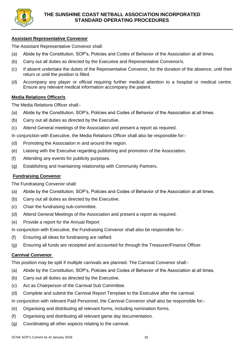

## **Assistant Representative Convenor**

The Assistant Representative Convenor shall:

- (a) Abide by the Constitution, SOP's, Policies and Codes of Behavior of the Association at all times.
- (b) Carry out all duties as directed by the Executive and Representative Convenor/s.
- (c) If absent undertake the duties of the Representative Convenor, for the duration of the absence, until their return or until the position is filled.
- (d) Accompany any player or official requiring further medical attention to a hospital or medical centre. Ensure any relevant medical information accompany the patient.

#### **Media Relations Officer/s**

The Media Relations Officer shall:-

- (a) Abide by the Constitution, SOP's, Policies and Codes of Behavior of the Association at all times.
- (b) Carry out all duties as directed by the Executive.
- (c) Attend General meetings of the Association and present a report as required.

In conjunction with Executive, the Media Relations Officer shall also be responsible for:-

- (d) Promoting the Association in and around the region.
- (e) Liaising with the Executive regarding publishing and promotion of the Association.
- (f) Attending any events for publicity purposes.
- (g) Establishing and maintaining relationship with Community Partners.

#### **Fundraising Convenor**

The Fundraising Convenor shall:

- (a) Abide by the Constitution, SOP's, Policies and Codes of Behavior of the Association at all times.
- (b) Carry out all duties as directed by the Executive.
- (c) Chair the fundraising sub-committee.
- (d) Attend General Meetings of the Association and present a report as required.
- (e) Provide a report for the Annual Report

In conjunction with Executive, the Fundraising Convenor shall also be responsible for:-

- (f) Ensuring all ideas for fundraising are ratified.
- (g) Ensuring all funds are receipted and accounted for through the Treasurer/Finance Officer.

## **Carnival Convenor**

This position may be split if multiple carnivals are planned. The Carnival Convenor shall:-

- (a) Abide by the Constitution, SOP's, Policies and Codes of Behavior of the Association at all times.
- (b) Carry out all duties as directed by the Executive.
- (c) Act as Chairperson of the Carnival Sub Committee.
- (d) Complete and submit the Carnival Report Template to the Executive after the carnival.

In conjunction with relevant Paid Personnel, the Carnival Convenor shall also be responsible for:-

- (e) Organising and distributing all relevant forms, including nomination forms.
- (f) Organising and distributing all relevant game day documentation.
- (g) Coordinating all other aspects relating to the carnival.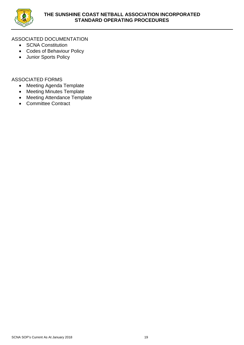

## ASSOCIATED DOCUMENTATION

- SCNA Constitution
- Codes of Behaviour Policy
- Junior Sports Policy

- Meeting Agenda Template
- Meeting Minutes Template
- Meeting Attendance Template
- Committee Contract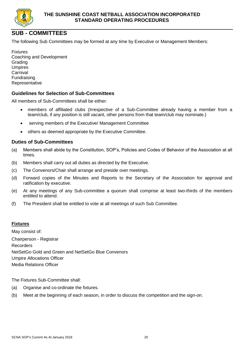

## **SUB - COMMITTEES**

The following Sub Committees may be formed at any time by Executive or Management Members:

Fixtures Coaching and Development **Grading** Umpires **Carnival** Fundraising Representative

## **Guidelines for Selection of Sub-Committees**

All members of Sub-Committees shall be either:

- members of affiliated clubs (Irrespective of a Sub-Committee already having a member from a team/club, if any position is still vacant, other persons from that team/club may nominate.)
- serving members of the Executive/ Management Committee
- others as deemed appropriate by the Executive Committee.

## **Duties of Sub-Committees**

- (a) Members shall abide by the Constitution, SOP's, Policies and Codes of Behavior of the Association at all times.
- (b) Members shall carry out all duties as directed by the Executive.
- (c) The Convenors/Chair shall arrange and preside over meetings.
- (d) Forward copies of the Minutes and Reports to the Secretary of the Association for approval and ratification by executive.
- (e) At any meetings of any Sub-committee a quorum shall comprise at least two-thirds of the members entitled to attend.
- (f) The President shall be entitled to vote at all meetings of such Sub Committee.

#### **Fixtures**

May consist of: Chairperson - Registrar Recorders NetSetGo Gold and Green and NetSetGo Blue Convenors Umpire Allocations Officer Media Relations Officer

The Fixtures Sub-Committee shall:

- (a) Organise and co-ordinate the fixtures.
- (b) Meet at the beginning of each season, in order to discuss the competition and the sign-on.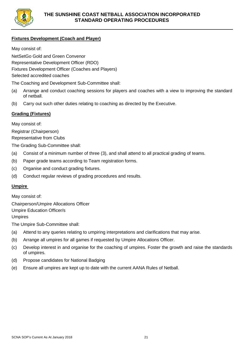

## **Fixtures Development (Coach and Player)**

May consist of:

NetSetGo Gold and Green Convenor

Representative Development Officer (RDO)

Fixtures Development Officer (Coaches and Players)

Selected accredited coaches

The Coaching and Development Sub-Committee shall:

- (a) Arrange and conduct coaching sessions for players and coaches with a view to improving the standard of netball.
- (b) Carry out such other duties relating to coaching as directed by the Executive.

## **Grading (Fixtures)**

May consist of:

Registrar (Chairperson) Representative from Clubs

The Grading Sub-Committee shall:

- (a) Consist of a minimum number of three (3), and shall attend to all practical grading of teams.
- (b) Paper grade teams according to Team registration forms.
- (c) Organise and conduct grading fixtures.
- (d) Conduct regular reviews of grading procedures and results.

## **Umpire**

May consist of:

Chairperson/Umpire Allocations Officer Umpire Education Officer/s Umpires

The Umpire Sub-Committee shall:

- (a) Attend to any queries relating to umpiring interpretations and clarifications that may arise.
- (b) Arrange all umpires for all games if requested by Umpire Allocations Officer.
- (c) Develop interest in and organise for the coaching of umpires. Foster the growth and raise the standards of umpires.
- (d) Propose candidates for National Badging
- (e) Ensure all umpires are kept up to date with the current AANA Rules of Netball.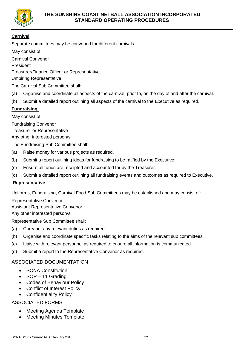

## **Carnival**

Separate committees may be convened for different carnivals.

May consist of:

Carnival Convenor President Treasurer/Finance Officer or Representative Umpiring Representative

The Carnival Sub Committee shall:

- (a) Organise and coordinate all aspects of the carnival, prior to, on the day of and after the carnival.
- (b) Submit a detailed report outlining all aspects of the carnival to the Executive as required.

## **Fundraising**

May consist of:

Fundraising Convenor

Treasurer or Representative

Any other interested person/s

The Fundraising Sub Committee shall:

- (a) Raise money for various projects as required.
- (b) Submit a report outlining ideas for fundraising to be ratified by the Executive.
- (c) Ensure all funds are receipted and accounted for by the Treasurer.
- (d) Submit a detailed report outlining all fundraising events and outcomes as required to Executive.

## **Representative**

Uniforms, Fundraising, Carnival Food Sub Committees may be established and may consist of:

Representative Convenor

Assistant Representative Convenor

Any other interested person/s

Representative Sub Committee shall:

- (a) Carry out any relevant duties as required
- (b) Organise and coordinate specific tasks relating to the aims of the relevant sub committees.
- (c) Liaise with relevant personnel as required to ensure all information is communicated.
- (d) Submit a report to the Representative Convenor as required.

## ASSOCIATED DOCUMENTATION

- **SCNA Constitution**
- SOP 11 Grading
- Codes of Behaviour Policy
- Conflict of Interest Policy
- Confidentiality Policy

- Meeting Agenda Template
- Meeting Minutes Template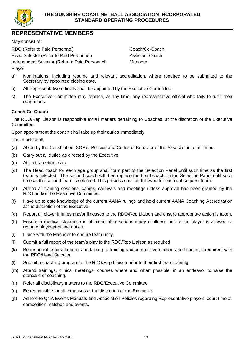

## **REPRESENTATIVE MEMBERS**

May consist of:

RDO (Refer to Paid Personnel) Coach/Co-Coach Head Selector (Refer to Paid Personnel) Assistant Coach Independent Selector (Refer to Paid Personnel) Manager Player

- a) Nominations, including resume and relevant accreditation, where required to be submitted to the Secretary by appointed closing date.
- b) All Representative officials shall be appointed by the Executive Committee.
- c) The Executive Committee may replace, at any time, any representative official who fails to fulfill their obligations.

## **Coach/Co-Coach**

The RDO/Rep Liaison is responsible for all matters pertaining to Coaches, at the discretion of the Executive Committee.

Upon appointment the coach shall take up their duties immediately.

The coach shall:

- (a) Abide by the Constitution, SOP's, Policies and Codes of Behavior of the Association at all times.
- (b) Carry out all duties as directed by the Executive.
- (c) Attend selection trials.
- (d) The Head coach for each age group shall form part of the Selection Panel until such time as the first team is selected. The second coach will then replace the head coach on the Selection Panel until such time as the second team is selected. This process shall be followed for each subsequent team.
- (e) Attend all training sessions, camps, carnivals and meetings unless approval has been granted by the RDO and/or the Executive Committee.
- (f) Have up to date knowledge of the current AANA rulings and hold current AANA Coaching Accreditation at the discretion of the Executive.
- (g) Report all player injuries and/or illnesses to the RDO/Rep Liaison and ensure appropriate action is taken.
- (h) Ensure a medical clearance is obtained after serious injury or illness before the player is allowed to resume playing/training duties.
- (i) Liaise with the Manager to ensure team unity.
- (j) Submit a full report of the team's play to the RDO/Rep Liaison as required.
- (k) Be responsible for all matters pertaining to training and competitive matches and confer, if required, with the RDO/Head Selector.
- (l) Submit a coaching program to the RDO/Rep Liaison prior to their first team training.
- (m) Attend trainings, clinics, meetings, courses where and when possible, in an endeavor to raise the standard of coaching.
- (n) Refer all disciplinary matters to the RDO/Executive Committee.
- (o) Be responsible for all expenses at the discretion of the Executive.
- (p) Adhere to QNA Events Manuals and Association Policies regarding Representative players' court time at competition matches and events.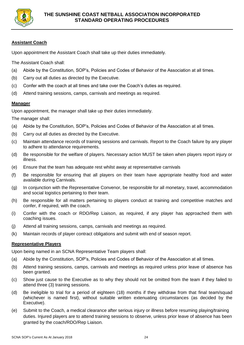

## **Assistant Coach**

Upon appointment the Assistant Coach shall take up their duties immediately.

The Assistant Coach shall:

- (a) Abide by the Constitution, SOP's, Policies and Codes of Behavior of the Association at all times.
- (b) Carry out all duties as directed by the Executive.
- (c) Confer with the coach at all times and take over the Coach's duties as required.
- (d) Attend training sessions, camps, carnivals and meetings as required.

## **Manager**

Upon appointment, the manager shall take up their duties immediately.

The manager shall:

- (a) Abide by the Constitution, SOP's, Policies and Codes of Behavior of the Association at all times.
- (b) Carry out all duties as directed by the Executive.
- (c) Maintain attendance records of training sessions and carnivals. Report to the Coach failure by any player to adhere to attendance requirements.
- (d) Be responsible for the welfare of players. Necessary action MUST be taken when players report injury or illness.
- (e) Ensure that the team has adequate rest whilst away at representative carnivals
- (f) Be responsible for ensuring that all players on their team have appropriate healthy food and water available during Carnivals.
- (g) In conjunction with the Representative Convenor, be responsible for all monetary, travel, accommodation and social logistics pertaining to their team.
- (h) Be responsible for all matters pertaining to players conduct at training and competitive matches and confer, if required, with the coach.
- (i) Confer with the coach or RDO/Rep Liaison, as required, if any player has approached them with coaching issues.
- (j) Attend all training sessions, camps, carnivals and meetings as required.
- (k) Maintain records of player contract obligations and submit with end of season report.

#### **Representative Players**

Upon being named in an SCNA Representative Team players shall:

- (a) Abide by the Constitution, SOP's, Policies and Codes of Behavior of the Association at all times.
- (b) Attend training sessions, camps, carnivals and meetings as required unless prior leave of absence has been granted.
- (c) Show just cause to the Executive as to why they should not be omitted from the team if they failed to attend three (3) training sessions.
- (d) Be ineligible to trial for a period of eighteen (18) months if they withdraw from that final team/squad (whichever is named first), without suitable written extenuating circumstances (as decided by the Executive).
- (e) Submit to the Coach, a medical clearance after serious injury or illness before resuming playing/training duties. Injured players are to attend training sessions to observe, unless prior leave of absence has been granted by the coach/RDO/Rep Liaison.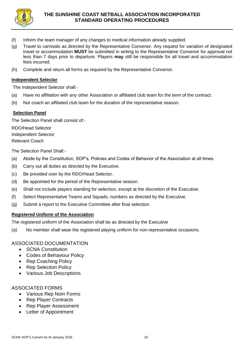

- (f) Inform the team manager of any changes to medical information already supplied.
- (g) Travel to carnivals as directed by the Representative Convenor. Any request for variation of designated travel or accommodation **MUST** be submitted in writing to the Representative Convenor for approval not less than 7 days prior to departure. Players **may** still be responsible for all travel and accommodation fees incurred.
- (h) Complete and return all forms as required by the Representative Convenor.

## **Independent Selector**

The Independent Selector shall:-

- (a) Have no affiliation with any other Association or affiliated club team for the term of the contract.
- (b) Not coach an affiliated club team for the duration of the representative season.

## **Selection Panel**

The Selection Panel shall consist of:-

RDO/Head Selector Independent Selector Relevant Coach

The Selection Panel Shall:-

- (a) Abide by the Constitution, SOP's, Policies and Codes of Behavior of the Association at all times.
- (b) Carry out all duties as directed by the Executive.
- (c) Be presided over by the RDO/Head Selector.
- (d) Be appointed for the period of the Representative season.
- (e) Shall not include players standing for selection, except at the discretion of the Executive.
- (f) Select Representative Teams and Squads, numbers as directed by the Executive.
- (g) Submit a report to the Executive Committee after final selection.

## **Registered Uniform of the Association**

The registered uniform of the Association shall be as directed by the Executive

(a) No member shall wear the registered playing uniform for non-representative occasions.

## ASSOCIATED DOCUMENTATION

- **SCNA Constitution**
- Codes of Behaviour Policy
- Rep Coaching Policy
- Rep Selection Policy
- Various Job Descriptions

- Various Rep Nom Forms
- Rep Player Contracts
- Rep Player Assessment
- Letter of Appointment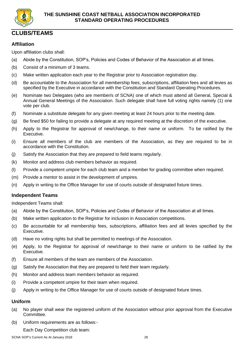

## **CLUBS/TEAMS**

## **Affiliation**

Upon affiliation clubs shall:

- (a) Abide by the Constitution, SOP's, Policies and Codes of Behavior of the Association at all times.
- (b) Consist of a minimum of 3 teams.
- (c) Make written application each year to the Registrar prior to Association registration day.
- (d) Be accountable to the Association for all membership fees, subscriptions, affiliation fees and all levies as specified by the Executive in accordance with the Constitution and Standard Operating Procedures.
- (e) Nominate two Delegates (who are member/s of SCNA) one of which must attend all General, Special & Annual General Meetings of the Association. Such delegate shall have full voting rights namely (1) one vote per club.
- (f) Nominate a substitute delegate for any given meeting at least 24 hours prior to the meeting date.
- (g) Be fined \$50 for failing to provide a delegate at any required meeting at the discretion of the executive.
- (h) Apply to the Registrar for approval of new/change, to their name or uniform. To be ratified by the Executive.
- (i) Ensure all members of the club are members of the Association, as they are required to be in accordance with the Constitution.
- (j) Satisfy the Association that they are prepared to field teams regularly.
- (k) Monitor and address club members behavior as required.
- (l) Provide a competent umpire for each club team and a member for grading committee when required.
- (m) Provide a mentor to assist in the development of umpires.
- (n) Apply in writing to the Office Manager for use of courts outside of designated fixture times.

## **Independent Teams**

Independent Teams shall:

- (a) Abide by the Constitution, SOP's, Policies and Codes of Behavior of the Association at all times.
- (b) Make written application to the Registrar for inclusion in Association competitions.
- (c) Be accountable for all membership fees, subscriptions, affiliation fees and all levies specified by the Executive.
- (d) Have no voting rights but shall be permitted to meetings of the Association.
- (e) Apply, to the Registrar for approval of new/change to their name or uniform to be ratified by the Executive.
- (f) Ensure all members of the team are members of the Association.
- (g) Satisfy the Association that they are prepared to field their team regularly.
- (h) Monitor and address team members behavior as required.
- (i) Provide a competent umpire for their team when required.
- (j) Apply in writing to the Office Manager for use of courts outside of designated fixture times.

#### **Uniform**

- (a) No player shall wear the registered uniform of the Association without prior approval from the Executive Committee.
- (b) Uniform requirements are as follows:-
	- Each Day Competition club team: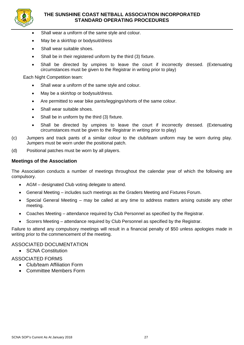

## **THE SUNSHINE COAST NETBALL ASSOCIATION INCORPORATED STANDARD OPERATING PROCEDURES**

- Shall wear a uniform of the same style and colour.
- May be a skirt/top or bodysuit/dress
- Shall wear suitable shoes.
- Shall be in their registered uniform by the third (3) fixture.
- Shall be directed by umpires to leave the court if incorrectly dressed. (Extenuating circumstances must be given to the Registrar in writing prior to play)

Each Night Competition team:

- Shall wear a uniform of the same style and colour.
- May be a skirt/top or bodysuit/dress.
- Are permitted to wear bike pants/leggings/shorts of the same colour.
- Shall wear suitable shoes.
- Shall be in uniform by the third (3) fixture.
- Shall be directed by umpires to leave the court if incorrectly dressed. (Extenuating circumstances must be given to the Registrar in writing prior to play)
- (c) Jumpers and track pants of a similar colour to the club/team uniform may be worn during play. Jumpers must be worn under the positional patch.
- (d) Positional patches must be worn by all players.

#### **Meetings of the Association**

The Association conducts a number of meetings throughout the calendar year of which the following are compulsory.

- AGM designated Club voting delegate to attend.
- General Meeting includes such meetings as the Graders Meeting and Fixtures Forum.
- Special General Meeting may be called at any time to address matters arising outside any other meeting.
- Coaches Meeting attendance required by Club Personnel as specified by the Registrar.
- Scorers Meeting attendance required by Club Personnel as specified by the Registrar.

Failure to attend any compulsory meetings will result in a financial penalty of \$50 unless apologies made in writing prior to the commencement of the meeting.

#### ASSOCIATED DOCUMENTATION

• SCNA Constitution

- Club/team Affiliation Form
- Committee Members Form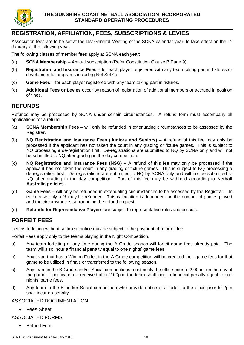

## **REGISTRATION, AFFILIATION, FEES, SUBSCRIPTIONS & LEVIES**

Association fees are to be set at the last General Meeting of the SCNA calendar year, to take effect on the 1st January of the following year.

The following classes of member fees apply at SCNA each year:

- (a) **SCNA Membership** Annual subscription (Refer Constitution Clause B Page 9).
- (b) **Registration and Insurance Fees –** for each player registered with any team taking part in fixtures or developmental programs including Net Set Go.
- (c) **Game Fees** for each player registered with any team taking part in fixtures.
- (d) **Additional Fees or Levies** occur by reason of registration of additional members or accrued in position of fines.

## **REFUNDS**

Refunds may be processed by SCNA under certain circumstances. A refund form must accompany all applications for a refund.

- (a) **SCNA Membership Fees –** will only be refunded in extenuating circumstances to be assessed by the Registrar.
- (b) **NQ Registration and Insurance Fees (Juniors and Seniors) –** A refund of this fee may only be processed if the applicant has not taken the court in any grading or fixture games. This is subject to NQ processing a de-registration first. De-registrations are submitted to NQ by SCNA only and will not be submitted to NQ after grading in the day competition.
- (c) **NQ Registration and Insurance Fees (NSG) –** A refund of this fee may only be processed if the applicant has not taken the court in any grading or fixture games. This is subject to NQ processing a de-registration first. De-registrations are submitted to NQ by SCNA only and will not be submitted to NQ after grading in the day competition. Part of this fee may be withheld according to **Netball Australia policies.**
- (d) **Game Fees –** will only be refunded in extenuating circumstances to be assessed by the Registrar. In each case only a % may be refunded. This calculation is dependent on the number of games played and the circumstances surrounding the refund request.
- (e) **Refunds for Representative Players** are subject to representative rules and policies.

## **FORFEIT FEES**

Teams forfeiting without sufficient notice may be subject to the payment of a forfeit fee.

Forfeit Fees apply only to the teams playing in the Night Competition.

- a) Any team forfeiting at any time during the A Grade season will forfeit game fees already paid. The team will also incur a financial penalty equal to one nights' game fees.
- b) Any team that has a Win on Forfeit in the A Grade competition will be credited their game fees for that game to be utilized in finals or transferred to the following season.
- c) Any team in the B Grade and/or Social competitions must notify the office prior to 2.00pm on the day of the game. If notification is received after 2.00pm, the team shall incur a financial penalty equal to one nights' game fees.
- d) Any team in the B and/or Social competition who provide notice of a forfeit to the office prior to 2pm shall incur no penalty.

## ASSOCIATED DOCUMENTATION

• Fees Sheet

## ASSOCIATED FORMS

• Refund Form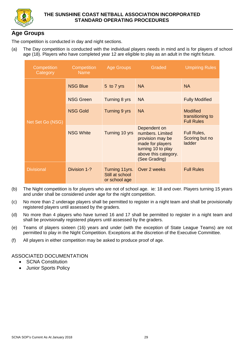

## **Age Groups**

The competition is conducted in day and night sections.

(a) The Day competition is conducted with the individual players needs in mind and is for players of school age (18). Players who have completed year 12 are eligible to play as an adult in the night fixture.

| Competition<br>Category | Competition<br><b>Name</b> | <b>Age Groups</b>                                  | Graded                                                                                                                                  | <b>Umpiring Rules</b>                                    |
|-------------------------|----------------------------|----------------------------------------------------|-----------------------------------------------------------------------------------------------------------------------------------------|----------------------------------------------------------|
| Net Set Go (NSG)        | <b>NSG Blue</b>            | 5 to 7 yrs                                         | <b>NA</b>                                                                                                                               | <b>NA</b>                                                |
|                         | <b>NSG Green</b>           | Turning 8 yrs                                      | <b>NA</b>                                                                                                                               | <b>Fully Modified</b>                                    |
|                         | <b>NSG Gold</b>            | Turning 9 yrs                                      | <b>NA</b>                                                                                                                               | <b>Modified</b><br>transitioning to<br><b>Full Rules</b> |
|                         | <b>NSG White</b>           | Turning 10 yrs                                     | Dependent on<br>numbers. Limited<br>provision may be<br>made for players<br>turning 10 to play<br>above this category.<br>(See Grading) | Full Rules,<br>Scoring but no<br>ladder                  |
| <b>Divisional</b>       | Division 1-?               | Turning 11yrs.<br>Still at school<br>or school age | Over 2 weeks                                                                                                                            | <b>Full Rules</b>                                        |

- (b) The Night competition is for players who are not of school age. ie: 18 and over. Players turning 15 years and under shall be considered under age for the night competition.
- (c) No more than 2 underage players shall be permitted to register in a night team and shall be provisionally registered players until assessed by the graders.
- (d) No more than 4 players who have turned 16 and 17 shall be permitted to register in a night team and shall be provisionally registered players until assessed by the graders.
- (e) Teams of players sixteen (16) years and under (with the exception of State League Teams) are not permitted to play in the Night Competition. Exceptions at the discretion of the Executive Committee.
- (f) All players in either competition may be asked to produce proof of age.

ASSOCIATED DOCUMENTATION

- **SCNA Constitution**
- Junior Sports Policy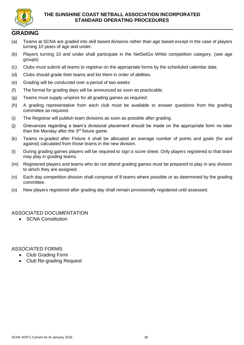

## **GRADING**

- (a) Teams at SCNA are graded into skill based divisions rather than age based except in the case of players turning 10 years of age and under.
- (b) Players turning 10 and under shall participate in the NetSetGo White competition category. (see age groups)
- (c) Clubs must submit all teams to registrar on the appropriate forms by the scheduled calendar date.
- (d) Clubs should grade their teams and list them in order of abilities.
- (e) Grading will be conducted over a period of two weeks
- (f) The format for grading days will be announced as soon as practicable.
- (g) Teams must supply umpires for all grading games as required.
- (h) A grading representative from each club must be available to answer questions from the grading committee as required.
- (i) The Registrar will publish team divisions as soon as possible after grading.
- (j) Grievances regarding a team's divisional placement should be made on the appropriate form no later than the Monday after the  $3<sup>rd</sup>$  fixture game.
- (k) Teams re-graded after Fixture 4 shall be allocated an average number of points and goals (for and against) calculated from those teams in the new division.
- (l) During grading games players will be required to sign a score sheet. Only players registered to that team may play in grading teams.
- (m) Registered players and teams who do not attend grading games must be prepared to play in any division to which they are assigned.
- (n) Each day competition division shall comprise of 8 teams where possible or as determined by the grading committee.
- (o) New players registered after grading day shall remain provisionally registered until assessed.

## ASSOCIATED DOCUMENTATION

• SCNA Constitution

- Club Grading Form
- Club Re-grading Request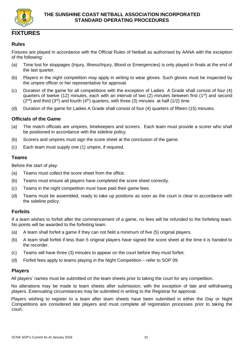

## **FIXTURES**

## **Rules**

Fixtures are played in accordance with the Official Rules of Netball as authorised by AANA with the exception of the following:

- (a) Time lost for stoppages (Injury, Illness/Injury, Blood or Emergencies) is only played in finals at the end of the last quarter.
- (b) Players in the night competition may apply in writing to wear gloves. Such gloves must be inspected by the umpire officer or her representative for approval.
- (c) Duration of the game for all competitions with the exception of Ladies A Grade shall consist of four (4) quarters of twelve (12) minutes, each with an interval of two (2) minutes between first (1<sup>st</sup>) and second  $(2^{nd})$  and third  $(3^{rd})$  and fourth  $(4^{th})$  quarters, with three (3) minutes at half (1/2) time.
- (d) Duration of the game for Ladies A Grade shall consist of four (4) quarters of fifteen (15) minutes.

## **Officials of the Game**

- (a) The match officials are umpires, timekeepers and scorers. Each team must provide a scorer who shall be positioned in accordance with the sideline policy.
- (b) Scorers and umpires must sign the score sheet at the conclusion of the game.
- (c) Each team must supply one (1) umpire, if required.

## **Teams**

Before the start of play:

- (a) Teams must collect the score sheet from the office.
- (b) Teams must ensure all players have completed the score sheet correctly.
- (c) Teams in the night competition must have paid their game fees.
- (d) Teams must be assembled, ready to take up positions as soon as the court is clear in accordance with the sideline policy.

## **Forfeits**

If a team wishes to forfeit after the commencement of a game, no fees will be refunded to the forfeiting team. No points will be awarded to the forfeiting team.

- (a) A team shall forfeit a game if they can not field a minimum of five (5) original players.
- (b) A team shall forfeit if less than 5 original players have signed the score sheet at the time it is handed to the recorder.
- (c) Teams will have three (3) minutes to appear on the court before they must forfeit.
- (d) Forfeit fees apply to teams playing in the Night Competition refer to SOP 09.

## **Players**

All players' names must be submitted on the team sheets prior to taking the court for any competition.

No alterations may be made to team sheets after submission, with the exception of late and withdrawing players. Extenuating circumstances may be submitted in writing to the Registrar for approval.

Players wishing to register to a team after team sheets have been submitted in either the Day or Night Competitions are considered late players and must complete all registration processes prior to taking the court.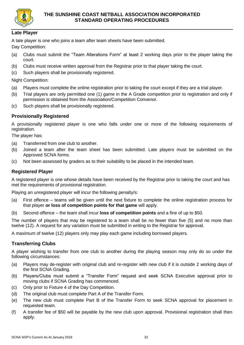

## **Late Player**

A late player is one who joins a team after team sheets have been submitted.

Day Competition:

- (a) Clubs must submit the "Team Alterations Form" at least 2 working days prior to the player taking the court.
- (b) Clubs must receive written approval from the Registrar prior to that player taking the court.
- (c) Such players shall be provisionally registered.

Night Competition:

- (a) Players must complete the online registration prior to taking the court except if they are a trial player.
- (b) Trial players are only permitted one (1) game in the A Grade competition prior to registration and only if permission is obtained from the Association/Competition Convenor.
- (c) Such players shall be provisionally registered.

## **Provisionally Registered**

A provisionally registered player is one who falls under one or more of the following requirements of registration.

The player has:

- (a) Transferred from one club to another.
- (b) Joined a team after the team sheet has been submitted. Late players must be submitted on the Approved SCNA forms.
- (c) Not been assessed by graders as to their suitability to be placed in the intended team.

## **Registered Player**

A registered player is one whose details have been received by the Registrar prior to taking the court and has met the requirements of provisional registration.

Playing an unregistered player will incur the following penalty/s:

- (a) First offence teams will be given until the next fixture to complete the online registration process for that player **or loss of competition points for that game** will apply.
- (b) Second offence the team shall incur **loss of competition points** and a fine of up to \$50.

The number of players that may be registered to a team shall be no fewer than five (5) and no more than twelve (12). A request for any variation must be submitted in writing to the Registrar for approval.

A maximum of twelve (12) players only may play each game including borrowed players.

## **Transferring Clubs**

A player wishing to transfer from one club to another during the playing season may only do so under the following circumstances:

- (a) Players may de-register with original club and re-register with new club if it is outside 2 working days of the first SCNA Grading.
- (b) Players/Clubs must submit a "Transfer Form" request and seek SCNA Executive approval prior to moving clubs if SCNA Grading has commenced.
- (c) Only prior to Fixture 4 of the Day Competition.
- (d) The original club must complete Part A of the Transfer Form.
- (e) The new club must complete Part B of the Transfer Form to seek SCNA approval for placement in requested team.
- (f) A transfer fee of \$50 will be payable by the new club upon approval. Provisional registration shall then apply.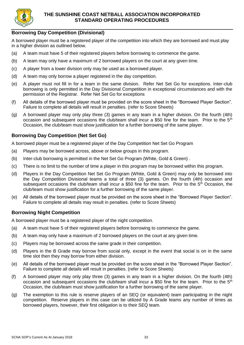

## **Borrowing Day Competition (Divisional)**

A borrowed player must be a registered player of the competition into which they are borrowed and must play in a higher division as outlined below.

- (a) A team must have 5 of their registered players before borrowing to commence the game.
- (b) A team may only have a maximum of 2 borrowed players on the court at any given time.
- (c) A player from a lower division only may be used as a borrowed player.
- (d) A team may only borrow a player registered in the day competition.
- (e) A player must not fill in for a team in the same division. Refer Net Set Go for exceptions. Inter-club borrowing is only permitted in the Day Divisional Competition in exceptional circumstances and with the permission of the Registrar. Refer Net Set Go for exceptions
- (f) All details of the borrowed player must be provided on the score sheet in the "Borrowed Player Section". Failure to complete all details will result in penalties. (refer to Score Sheets)
- (g) A borrowed player may only play three (3) games in any team in a higher division. On the fourth (4th) occasion and subsequent occasions the club/team shall incur a \$50 fine for the team. Prior to the  $5<sup>th</sup>$ Occasion, the club/team must show justification for a further borrowing of the same player.

## **Borrowing Day Competition (Net Set Go)**

A borrowed player must be a registered player of the Day Competition Net Set Go Program

- (a) Players may be borrowed across, above or below groups in this program.
- (b) Inter-club borrowing is permitted in the Net Set Go Program (White, Gold & Green) .
- (c) There is no limit to the number of time a player in this program may be borrowed within this program.
- (d) Players in the Day Competition Net Set Go Program (White, Gold & Green) may only be borrowed into the Day Competition Divisional teams a total of three (3) games. On the fourth (4th) occasion and subsequent occasions the club/team shall incur a \$50 fine for the team. Prior to the 5<sup>th</sup> Occasion, the club/team must show justification for a further borrowing of the same player.
- (e) All details of the borrowed player must be provided on the score sheet in the "Borrowed Player Section". Failure to complete all details may result in penalties. (refer to Score Sheets)

## **Borrowing Night Competition**

A borrowed player must be a registered player of the night competition.

- (a) A team must have 5 of their registered players before borrowing to commence the game.
- (b) A team may only have a maximum of 2 borrowed players on the court at any given time.
- (c) Players may be borrowed across the same grade in their competition.
- (d) Players in the B Grade may borrow from social only, except in the event that social is on in the same time slot then they may borrow from either division.
- (e) All details of the borrowed player must be provided on the score sheet in the "Borrowed Player Section". Failure to complete all details will result in penalties. (refer to Score Sheets)
- (f) A borrowed player may only play three (3) games in any team in a higher division. On the fourth (4th) occasion and subsequent occasions the club/team shall incur a \$50 fine for the team. Prior to the  $5<sup>th</sup>$ Occasion, the club/team must show justification for a further borrowing of the same player.
- (g) The exemption to this rule is reserve players of an SEQ (or equivalent) team participating in the night competition. Reserve players in this case can be utilized by A Grade teams any number of times as borrowed players, however, their first obligation is to their SEQ team.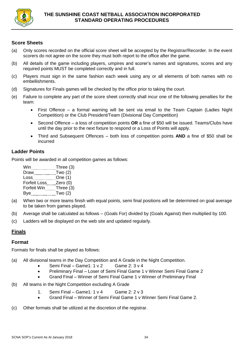

## **Score Sheets**

- (a) Only scores recorded on the official score sheet will be accepted by the Registrar/Recorder. In the event scorers do not agree on the score they must both report to the office after the game.
- (b) All details of the game including players, umpires and scorer's names and signatures, scores and any required points MUST be completed correctly and in full.
- (c) Players must sign in the same fashion each week using any or all elements of both names with no embellishments.
- (d) Signatures for Finals games will be checked by the office prior to taking the court.
- (e) Failure to complete any part of the score sheet correctly shall incur one of the following penalties for the team:
	- First Offence a formal warning will be sent via email to the Team Captain (Ladies Night Competition) or the Club President/Team (Divisional Day Competition)
	- Second Offence a loss of competition points **OR** a fine of \$50 will be issued. Teams/Clubs have until the day prior to the next fixture to respond or a Loss of Points will apply.
	- Third and Subsequent Offences both loss of competition points **AND** a fine of \$50 shall be incurred

## **Ladder Points**

Points will be awarded in all competition games as follows:

Win **Three** (3) Draw \_\_\_\_\_\_\_\_\_\_\_\_\_\_ Two (2) Loss **Conduct Conduct Conduct Conduct Conduct Conduct Conduct Conduct Conduct Conduct Conduct Conduct Conduct Conduct Conduct Conduct Conduct Conduct Conduct Conduct Conduct Conduct Conduct Conduct Conduct Conduct Conduct** Forfeit Loss \_\_\_\_ Zero (0) Forfeit Win Three (3) Bye **Two** (2)

- (a) When two or more teams finish with equal points, semi final positions will be determined on goal average to be taken from games played.
- (b) Average shall be calculated as follows (Goals For) divided by (Goals Against) then multiplied by 100.
- (c) Ladders will be displayed on the web site and updated regularly.

## **Finals**

## **Format**

Formats for finals shall be played as follows:

- (a) All divisional teams in the Day Competition and A Grade in the Night Competition.
	- Semi Final Game1:  $1 \vee 2$  Game 2:  $3 \vee 4$
	- Preliminary Final Loser of Semi Final Game 1 v Winner Semi Final Game 2
	- Grand Final Winner of Semi Final Game 1 v Winner of Preliminary Final
- (b) All teams in the Night Competition excluding A Grade
	- 1. Semi Final Game1:  $1 \vee 4$  Game 2:  $2 \vee 3$
	- Grand Final Winner of Semi Final Game 1 v Winner Semi Final Game 2.
- (c) Other formats shall be utilized at the discretion of the registrar.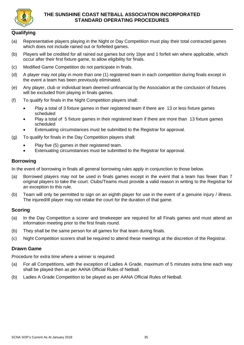

## **THE SUNSHINE COAST NETBALL ASSOCIATION INCORPORATED STANDARD OPERATING PROCEDURES**

## **Qualifying**

- (a) Representative players playing in the Night or Day Competition must play their total contracted games which does not include rained out or forfeited games.
- (b) Players will be credited for all rained out games but only 1bye and 1 forfeit win where applicable, which occur after their first fixture game, to allow eligibility for finals.
- (c) Modified Game Competition do not participate in finals.
- (d) A player may not play in more than one (1) registered team in each competition during finals except in the event a team has been previously eliminated.
- (e) Any player, club or individual team deemed unfinancial by the Association at the conclusion of fixtures will be excluded from playing in finals games.
- (f) To qualify for finals in the Night Competition players shall:
	- Play a total of 3 fixture games in their registered team if there are 13 or less fixture games scheduled
	- Play a total of 5 fixture games in their registered team if there are more than 13 fixture games scheduled
	- Extenuating circumstances must be submitted to the Registrar for approval.
- (g) To qualify for finals in the Day Competition players shall:
	- Play five (5) games in their registered team.
	- Extenuating circumstances must be submitted to the Registrar for approval.

## **Borrowing**

In the event of borrowing in finals all general borrowing rules apply in conjunction to those below.

- (a) Borrowed players may not be used in finals games except in the event that a team has fewer than 7 original players to take the court. Clubs/Teams must provide a valid reason in writing to the Registrar for an exception to this rule.
- (b) Team will only be permitted to sign on an eighth player for use in the event of a genuine injury / illness. The injured/ill player may not retake the court for the duration of that game.

## **Scoring**

- (a) In the Day Competition a scorer and timekeeper are required for all Finals games and must attend an information meeting prior to the first finals round.
- (b) They shall be the same person for all games for that team during finals.
- (c) Night Competition scorers shall be required to attend these meetings at the discretion of the Registrar.

## **Drawn Game**

Procedure for extra time where a winner is required:

- (a) For all Competitions, with the exception of Ladies A Grade, maximum of 5 minutes extra time each way shall be played then as per AANA Official Rules of Netball.
- (b) Ladies A Grade Competition to be played as per AANA Official Rules of Netball.